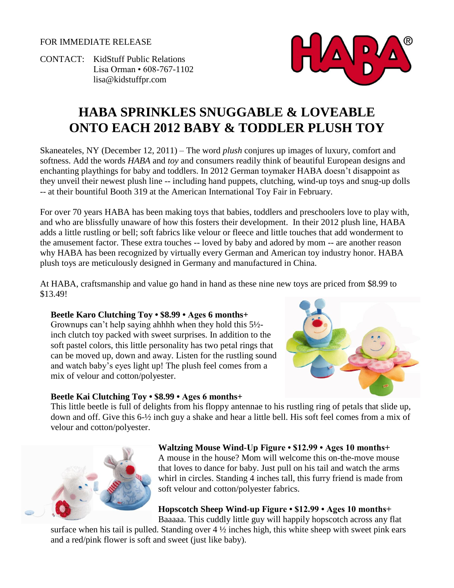FOR IMMEDIATE RELEASE

CONTACT: KidStuff Public Relations Lisa Orman • 608-767-1102 [lisa@kidstuffpr.com](mailto:lisa@kidstuffpr.com)



# **HABA SPRINKLES SNUGGABLE & LOVEABLE ONTO EACH 2012 BABY & TODDLER PLUSH TOY**

Skaneateles, NY (December 12, 2011) – The word *plush* conjures up images of luxury, comfort and softness. Add the words *HABA* and *toy* and consumers readily think of beautiful European designs and enchanting playthings for baby and toddlers. In 2012 German toymaker HABA doesn't disappoint as they unveil their newest plush line -- including hand puppets, clutching, wind-up toys and snug-up dolls -- at their bountiful Booth 319 at the American International Toy Fair in February.

For over 70 years HABA has been making toys that babies, toddlers and preschoolers love to play with, and who are blissfully unaware of how this fosters their development. In their 2012 plush line, HABA adds a little rustling or bell; soft fabrics like velour or fleece and little touches that add wonderment to the amusement factor. These extra touches -- loved by baby and adored by mom -- are another reason why HABA has been recognized by virtually every German and American toy industry honor. HABA plush toys are meticulously designed in Germany and manufactured in China.

At HABA, craftsmanship and value go hand in hand as these nine new toys are priced from \$8.99 to \$13.49!

### **Beetle Karo Clutching Toy • \$8.99 • Ages 6 months+**

Grownups can't help saying ahhhh when they hold this 5½ inch clutch toy packed with sweet surprises. In addition to the soft pastel colors, this little personality has two petal rings that can be moved up, down and away. Listen for the rustling sound and watch baby's eyes light up! The plush feel comes from a mix of velour and cotton/polyester.



This little beetle is full of delights from his floppy antennae to his rustling ring of petals that slide up, down and off. Give this 6-½ inch guy a shake and hear a little bell. His soft feel comes from a mix of velour and cotton/polyester.



## **Waltzing Mouse Wind-Up Figure • \$12.99 • Ages 10 months+**

A mouse in the house? Mom will welcome this on-the-move mouse that loves to dance for baby. Just pull on his tail and watch the arms whirl in circles. Standing 4 inches tall, this furry friend is made from soft velour and cotton/polyester fabrics.

### **Hopscotch Sheep Wind-up Figure • \$12.99 • Ages 10 months+**

Baaaaa. This cuddly little guy will happily hopscotch across any flat

surface when his tail is pulled. Standing over  $4\frac{1}{2}$  inches high, this white sheep with sweet pink ears and a red/pink flower is soft and sweet (just like baby).